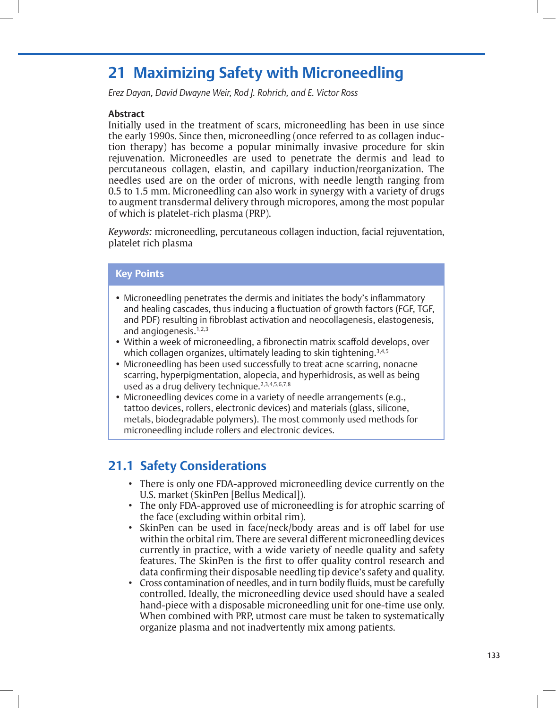# **21 Maximizing Safety with Microneedling**

*Erez Dayan, David Dwayne Weir, Rod J. Rohrich, and E. Victor Ross* 

#### **Abstract**

Initially used in the treatment of scars, microneedling has been in use since the early 1990s. Since then, microneedling (once referred to as collagen induction therapy) has become a popular minimally invasive procedure for skin rejuvenation. Microneedles are used to penetrate the dermis and lead to percutaneous collagen, elastin, and capillary induction/reorganization. The needles used are on the order of microns, with needle length ranging from 0.5 to 1.5 mm. Microneedling can also work in synergy with a variety of drugs to augment transdermal delivery through micropores, among the most popular of which is platelet-rich plasma (PRP).

*Keywords:* microneedling, percutaneous collagen induction, facial rejuventation, platelet rich plasma

#### **Key Points**

- Microneedling penetrates the dermis and initiates the body's inflammatory and healing cascades, thus inducing a fluctuation of growth factors (FGF, TGF, and PDF) resulting in fibroblast activation and neocollagenesis, elastogenesis, and angiogenesis.<sup>1,2,3</sup>
- Within a week of microneedling, a fibronectin matrix scaffold develops, over which collagen organizes, ultimately leading to skin tightening.<sup>3,4,5</sup>
- Microneedling has been used successfully to treat acne scarring, nonacne scarring, hyperpigmentation, alopecia, and hyperhidrosis, as well as being used as a drug delivery technique.<sup>2,3,4,5,6,7,8</sup>
- Microneedling devices come in a variety of needle arrangements (e.g., tattoo devices, rollers, electronic devices) and materials (glass, silicone, metals, biodegradable polymers). The most commonly used methods for microneedling include rollers and electronic devices.

## **21.1 Safety Considerations**

- There is only one FDA-approved microneedling device currently on the U.S. market (SkinPen [Bellus Medical]).
- The only FDA-approved use of microneedling is for atrophic scarring of the face (excluding within orbital rim).
- SkinPen can be used in face/neck/body areas and is off label for use within the orbital rim. There are several different microneedling devices currently in practice, with a wide variety of needle quality and safety features. The SkinPen is the first to offer quality control research and data confirming their disposable needling tip device's safety and quality.
- Cross contamination of needles, and in turn bodily fluids, must be carefully controlled. Ideally, the microneedling device used should have a sealed hand-piece with a disposable microneedling unit for one-time use only. When combined with PRP, utmost care must be taken to systematically organize plasma and not inadvertently mix among patients.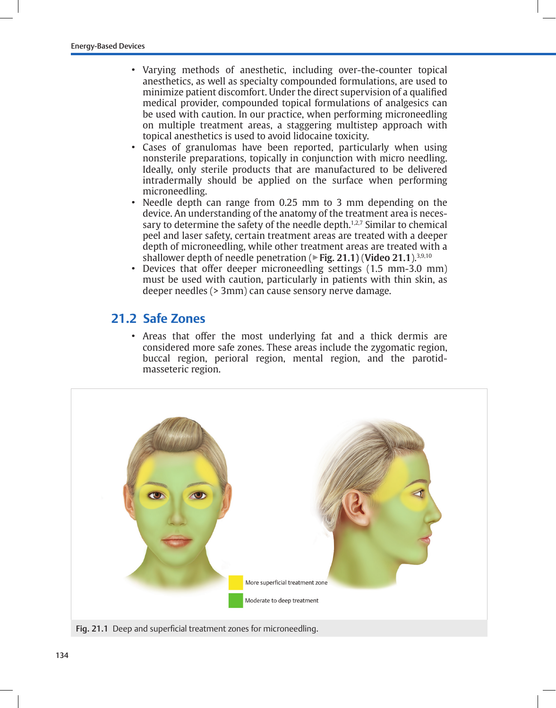- Varying methods of anesthetic, including over-the-counter topical anesthetics, as well as specialty compounded formulations, are used to minimize patient discomfort. Under the direct supervision of a qualified medical provider, compounded topical formulations of analgesics can be used with caution. In our practice, when performing microneedling on multiple treatment areas, a staggering multistep approach with topical anesthetics is used to avoid lidocaine toxicity.
- Cases of granulomas have been reported, particularly when using nonsterile preparations, topically in conjunction with micro needling. Ideally, only sterile products that are manufactured to be delivered intradermally should be applied on the surface when performing microneedling.
- Needle depth can range from 0.25 mm to 3 mm depending on the device. An understanding of the anatomy of the treatment area is necessary to determine the safety of the needle depth.<sup>1,2,7</sup> Similar to chemical peel and laser safety, certain treatment areas are treated with a deeper depth of microneedling, while other treatment areas are treated with a shallower depth of needle penetration (▶**Fig. 21.1)** (**Video 21.1**).3,9,10
- Devices that offer deeper microneedling settings (1.5 mm-3.0 mm) must be used with caution, particularly in patients with thin skin, as deeper needles (> 3mm) can cause sensory nerve damage.

# **21.2 Safe Zones**

• Areas that offer the most underlying fat and a thick dermis are considered more safe zones. These areas include the zygomatic region, buccal region, perioral region, mental region, and the parotidmasseteric region.